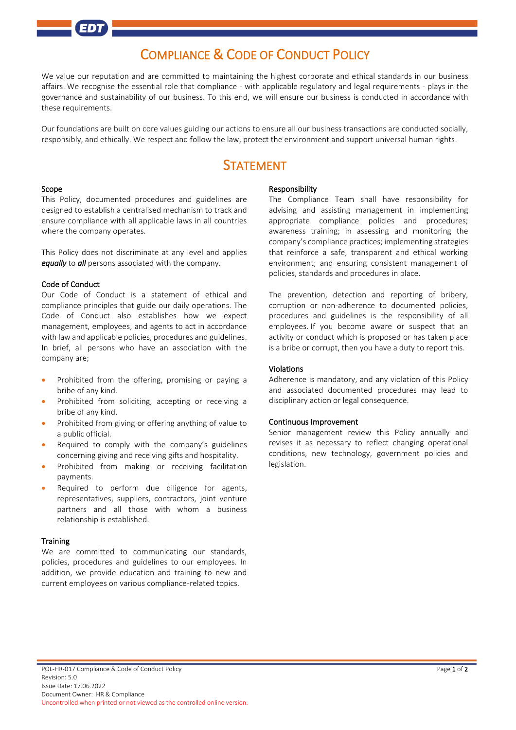# COMPLIANCE & CODE OF CONDUCT POLICY

We value our reputation and are committed to maintaining the highest corporate and ethical standards in our business affairs. We recognise the essential role that compliance - with applicable regulatory and legal requirements - plays in the governance and sustainability of our business. To this end, we will ensure our business is conducted in accordance with these requirements.

Our foundations are built on core values guiding our actions to ensure all our business transactions are conducted socially, responsibly, and ethically. We respect and follow the law, protect the environment and support universal human rights.

## STATEMENT

#### Scope

This Policy, documented procedures and guidelines are designed to establish a centralised mechanism to track and ensure compliance with all applicable laws in all countries where the company operates.

This Policy does not discriminate at any level and applies *equally* to *all* persons associated with the company.

#### Code of Conduct

Our Code of Conduct is a statement of ethical and compliance principles that guide our daily operations. The Code of Conduct also establishes how we expect management, employees, and agents to act in accordance with law and applicable policies, procedures and guidelines. In brief, all persons who have an association with the company are;

- Prohibited from the offering, promising or paying a bribe of any kind.
- Prohibited from soliciting, accepting or receiving a bribe of any kind.
- Prohibited from giving or offering anything of value to a public official.
- Required to comply with the company's guidelines concerning giving and receiving gifts and hospitality.
- Prohibited from making or receiving facilitation payments.
- Required to perform due diligence for agents, representatives, suppliers, contractors, joint venture partners and all those with whom a business relationship is established.

#### **Training**

We are committed to communicating our standards, policies, procedures and guidelines to our employees. In addition, we provide education and training to new and current employees on various compliance-related topics.

#### Responsibility

The Compliance Team shall have responsibility for advising and assisting management in implementing appropriate compliance policies and procedures; awareness training; in assessing and monitoring the company's compliance practices; implementing strategies that reinforce a safe, transparent and ethical working environment; and ensuring consistent management of policies, standards and procedures in place.

The prevention, detection and reporting of bribery, corruption or non-adherence to documented policies, procedures and guidelines is the responsibility of all employees. If you become aware or suspect that an activity or conduct which is proposed or has taken place is a bribe or corrupt, then you have a duty to report this.

#### Violations

Adherence is mandatory, and any violation of this Policy and associated documented procedures may lead to disciplinary action or legal consequence.

#### Continuous Improvement

Senior management review this Policy annually and revises it as necessary to reflect changing operational conditions, new technology, government policies and legislation.